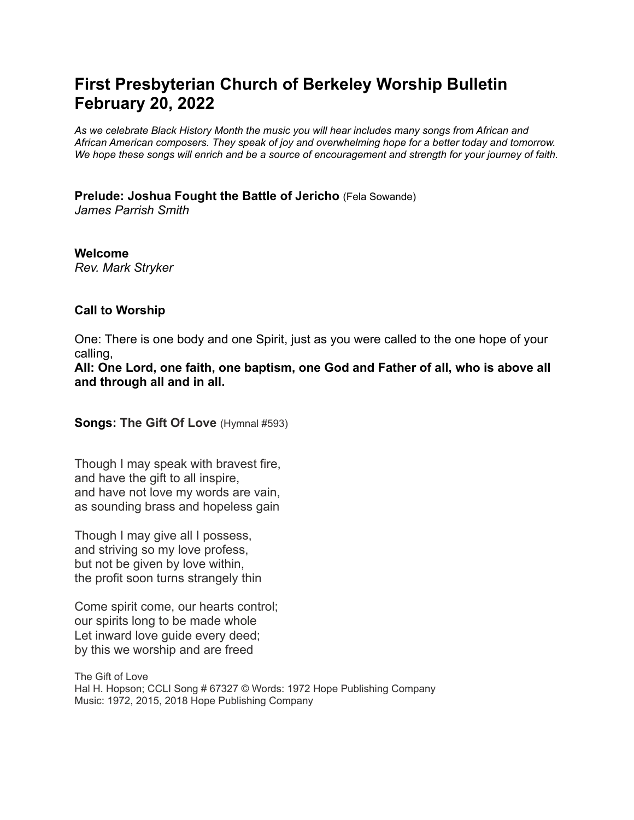# **First Presbyterian Church of Berkeley Worship Bulletin February 20, 2022**

*As we celebrate Black History Month the music you will hear includes many songs from African and African American composers. They speak of joy and overwhelming hope for a better today and tomorrow.* We hope these songs will enrich and be a source of encouragement and strength for your journey of faith.

**Prelude: Joshua Fought the Battle of Jericho** (Fela Sowande)

*James Parrish Smith*

**Welcome** *Rev. Mark Stryker*

# **Call to Worship**

One: There is one body and one Spirit, just as you were called to the one hope of your calling,

**All: One Lord, one faith, one baptism, one God and Father of all, who is above all and through all and in all.**

**Songs: The Gift Of Love** (Hymnal #593)

Though I may speak with bravest fire, and have the gift to all inspire, and have not love my words are vain, as sounding brass and hopeless gain

Though I may give all I possess, and striving so my love profess, but not be given by love within, the profit soon turns strangely thin

Come spirit come, our hearts control; our spirits long to be made whole Let inward love guide every deed; by this we worship and are freed

The Gift of Love Hal H. Hopson; CCLI Song # 67327 © Words: 1972 Hope Publishing Company Music: 1972, 2015, 2018 Hope Publishing Company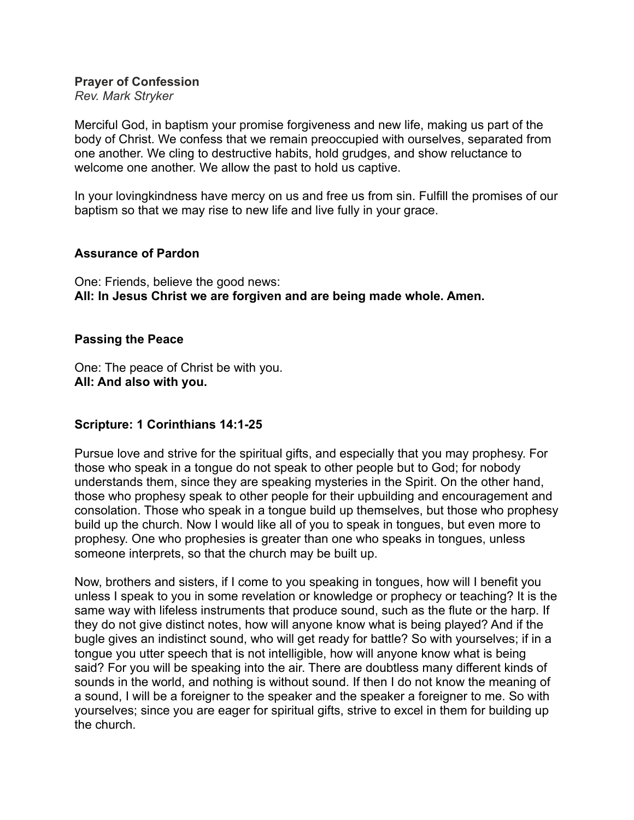### **Prayer of Confession**

*Rev. Mark Stryker*

Merciful God, in baptism your promise forgiveness and new life, making us part of the body of Christ. We confess that we remain preoccupied with ourselves, separated from one another. We cling to destructive habits, hold grudges, and show reluctance to welcome one another. We allow the past to hold us captive.

In your lovingkindness have mercy on us and free us from sin. Fulfill the promises of our baptism so that we may rise to new life and live fully in your grace.

#### **Assurance of Pardon**

One: Friends, believe the good news: **All: In Jesus Christ we are forgiven and are being made whole. Amen.**

#### **Passing the Peace**

One: The peace of Christ be with you. **All: And also with you.**

# **Scripture: 1 Corinthians 14:1-25**

Pursue love and strive for the spiritual gifts, and especially that you may prophesy. For those who speak in a tongue do not speak to other people but to God; for nobody understands them, since they are speaking mysteries in the Spirit. On the other hand, those who prophesy speak to other people for their upbuilding and encouragement and consolation. Those who speak in a tongue build up themselves, but those who prophesy build up the church. Now I would like all of you to speak in tongues, but even more to prophesy. One who prophesies is greater than one who speaks in tongues, unless someone interprets, so that the church may be built up.

Now, brothers and sisters, if I come to you speaking in tongues, how will I benefit you unless I speak to you in some revelation or knowledge or prophecy or teaching? It is the same way with lifeless instruments that produce sound, such as the flute or the harp. If they do not give distinct notes, how will anyone know what is being played? And if the bugle gives an indistinct sound, who will get ready for battle? So with yourselves; if in a tongue you utter speech that is not intelligible, how will anyone know what is being said? For you will be speaking into the air. There are doubtless many different kinds of sounds in the world, and nothing is without sound. If then I do not know the meaning of a sound, I will be a foreigner to the speaker and the speaker a foreigner to me. So with yourselves; since you are eager for spiritual gifts, strive to excel in them for building up the church.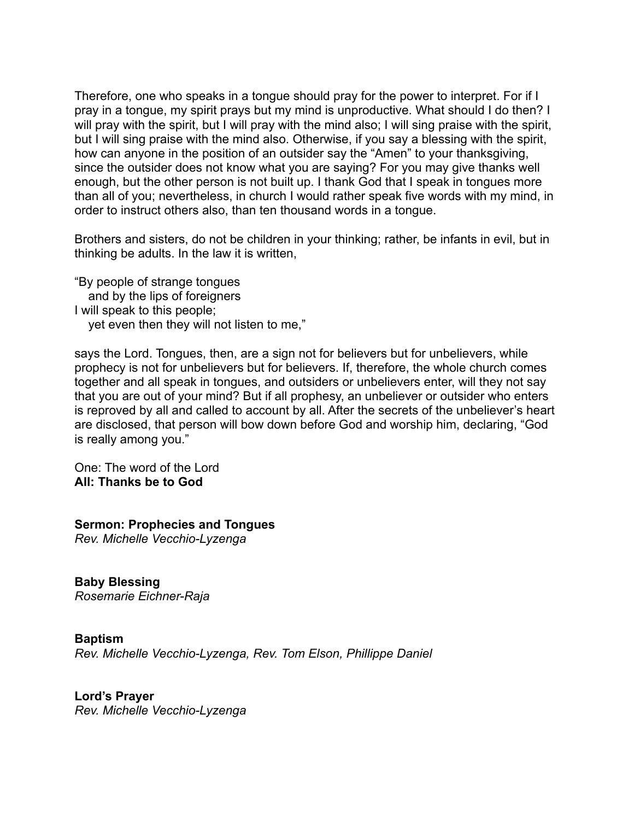Therefore, one who speaks in a tongue should pray for the power to interpret. For if I pray in a tongue, my spirit prays but my mind is unproductive. What should I do then? I will pray with the spirit, but I will pray with the mind also; I will sing praise with the spirit, but I will sing praise with the mind also. Otherwise, if you say a blessing with the spirit, how can anyone in the position of an outsider say the "Amen" to your thanksgiving, since the outsider does not know what you are saying? For you may give thanks well enough, but the other person is not built up. I thank God that I speak in tongues more than all of you; nevertheless, in church I would rather speak five words with my mind, in order to instruct others also, than ten thousand words in a tongue.

Brothers and sisters, do not be children in your thinking; rather, be infants in evil, but in thinking be adults. In the law it is written,

"By people of strange tongues and by the lips of foreigners I will speak to this people; yet even then they will not listen to me,"

says the Lord. Tongues, then, are a sign not for believers but for unbelievers, while prophecy is not for unbelievers but for believers. If, therefore, the whole church comes together and all speak in tongues, and outsiders or unbelievers enter, will they not say that you are out of your mind? But if all prophesy, an unbeliever or outsider who enters is reproved by all and called to account by all. After the secrets of the unbeliever's heart are disclosed, that person will bow down before God and worship him, declaring, "God is really among you."

One: The word of the Lord **All: Thanks be to God**

**Sermon: Prophecies and Tongues** *Rev. Michelle Vecchio-Lyzenga*

**Baby Blessing** *Rosemarie Eichner-Raja*

**Baptism** *Rev. Michelle Vecchio-Lyzenga, Rev. Tom Elson, Phillippe Daniel*

**Lord's Prayer** *Rev. Michelle Vecchio-Lyzenga*